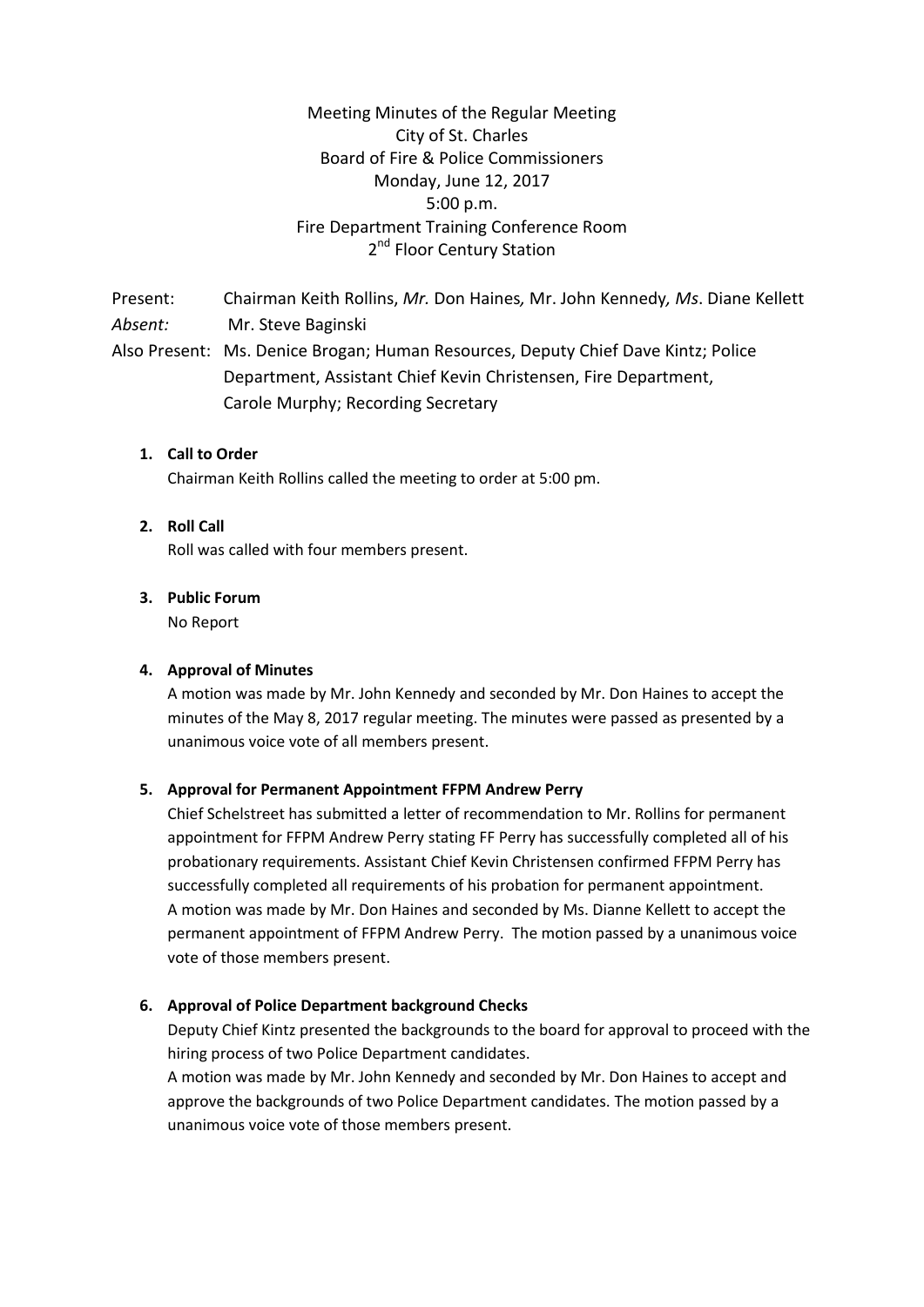Meeting Minutes of the Regular Meeting City of St. Charles Board of Fire & Police Commissioners Monday, June 12, 2017 5:00 p.m. Fire Department Training Conference Room 2<sup>nd</sup> Floor Century Station

Present: Chairman Keith Rollins, *Mr.* Don Haines*,* Mr. John Kennedy*, Ms*. Diane Kellett *Absent:* Mr. Steve Baginski Also Present: Ms. Denice Brogan; Human Resources, Deputy Chief Dave Kintz; Police Department, Assistant Chief Kevin Christensen, Fire Department, Carole Murphy; Recording Secretary

# **1. Call to Order**

Chairman Keith Rollins called the meeting to order at 5:00 pm.

### **2. Roll Call**

Roll was called with four members present.

### **3. Public Forum**

No Report

### **4. Approval of Minutes**

A motion was made by Mr. John Kennedy and seconded by Mr. Don Haines to accept the minutes of the May 8, 2017 regular meeting. The minutes were passed as presented by a unanimous voice vote of all members present.

#### **5. Approval for Permanent Appointment FFPM Andrew Perry**

Chief Schelstreet has submitted a letter of recommendation to Mr. Rollins for permanent appointment for FFPM Andrew Perry stating FF Perry has successfully completed all of his probationary requirements. Assistant Chief Kevin Christensen confirmed FFPM Perry has successfully completed all requirements of his probation for permanent appointment. A motion was made by Mr. Don Haines and seconded by Ms. Dianne Kellett to accept the permanent appointment of FFPM Andrew Perry. The motion passed by a unanimous voice vote of those members present.

#### **6. Approval of Police Department background Checks**

Deputy Chief Kintz presented the backgrounds to the board for approval to proceed with the hiring process of two Police Department candidates.

A motion was made by Mr. John Kennedy and seconded by Mr. Don Haines to accept and approve the backgrounds of two Police Department candidates. The motion passed by a unanimous voice vote of those members present.